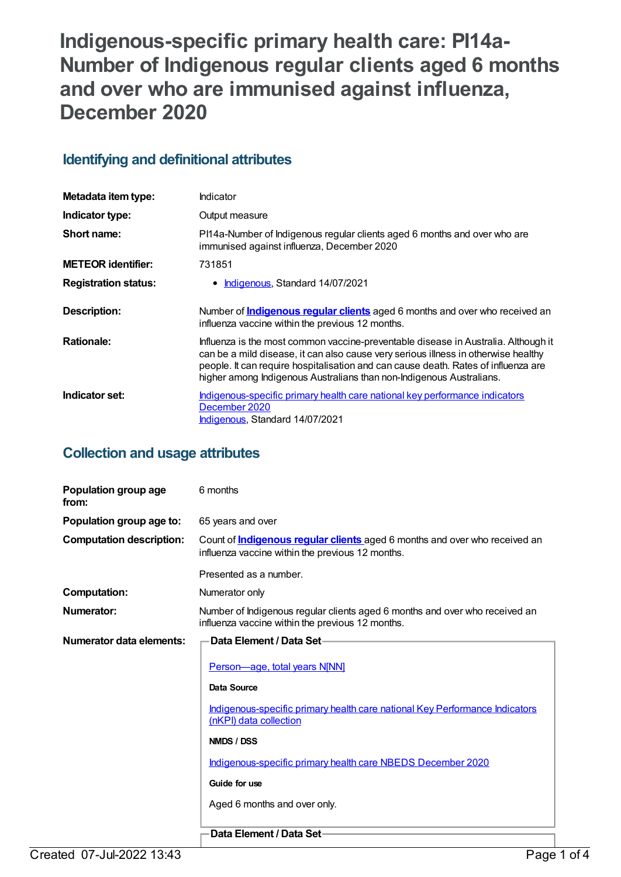# **Indigenous-specific primary health care: PI14a-Number of Indigenous regular clients aged 6 months and over who are immunised against influenza, December 2020**

## **Identifying and definitional attributes**

| Metadata item type:         | Indicator                                                                                                                                                                                                                                                                                                                              |
|-----------------------------|----------------------------------------------------------------------------------------------------------------------------------------------------------------------------------------------------------------------------------------------------------------------------------------------------------------------------------------|
| Indicator type:             | Output measure                                                                                                                                                                                                                                                                                                                         |
| Short name:                 | PI14a-Number of Indigenous regular clients aged 6 months and over who are<br>immunised against influenza, December 2020                                                                                                                                                                                                                |
| <b>METEOR identifier:</b>   | 731851                                                                                                                                                                                                                                                                                                                                 |
| <b>Registration status:</b> | • <b>Indigenous</b> , Standard 14/07/2021                                                                                                                                                                                                                                                                                              |
| <b>Description:</b>         | Number of <b>Indigenous regular clients</b> aged 6 months and over who received an<br>influenza vaccine within the previous 12 months.                                                                                                                                                                                                 |
| <b>Rationale:</b>           | Influenza is the most common vaccine-preventable disease in Australia. Although it<br>can be a mild disease, it can also cause very serious illness in otherwise healthy<br>people. It can require hospitalisation and can cause death. Rates of influenza are<br>higher among Indigenous Australians than non-Indigenous Australians. |
| Indicator set:              | Indigenous-specific primary health care national key performance indicators<br>December 2020<br>Indigenous, Standard 14/07/2021                                                                                                                                                                                                        |

## **Collection and usage attributes**

| Population group age<br>from:   | 6 months                                                                                                                              |
|---------------------------------|---------------------------------------------------------------------------------------------------------------------------------------|
| Population group age to:        | 65 years and over                                                                                                                     |
| <b>Computation description:</b> | Count of <b>Indigenous regular clients</b> aged 6 months and over who received an<br>influenza vaccine within the previous 12 months. |
|                                 | Presented as a number.                                                                                                                |
| <b>Computation:</b>             | Numerator only                                                                                                                        |
| <b>Numerator:</b>               | Number of Indigenous regular clients aged 6 months and over who received an<br>influenza vaccine within the previous 12 months.       |
| Numerator data elements:        | <b>Data Element / Data Set-</b>                                                                                                       |
|                                 | Person-age, total years N[NN]                                                                                                         |
|                                 | Data Source                                                                                                                           |
|                                 | Indigenous-specific primary health care national Key Performance Indicators<br>(nKPI) data collection                                 |
|                                 | NMDS / DSS                                                                                                                            |
|                                 | Indigenous-specific primary health care NBEDS December 2020                                                                           |
|                                 | Guide for use                                                                                                                         |
|                                 | Aged 6 months and over only.                                                                                                          |
|                                 | Data Element / Data Set-                                                                                                              |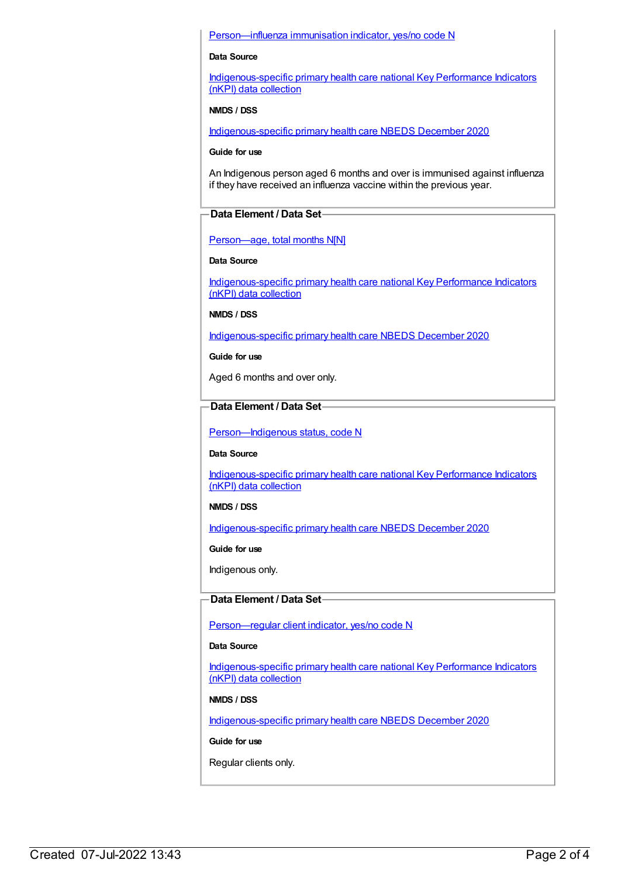#### [Person—influenza](https://meteor.aihw.gov.au/content/457688) immunisation indicator, yes/no code N

#### **Data Source**

[Indigenous-specific](https://meteor.aihw.gov.au/content/737914) primary health care national Key Performance Indicators (nKPI) data collection

#### **NMDS / DSS**

[Indigenous-specific](https://meteor.aihw.gov.au/content/738532) primary health care NBEDS December 2020

#### **Guide for use**

An Indigenous person aged 6 months and over is immunised against influenza if they have received an influenza vaccine within the previous year.

#### **Data Element / Data Set**

#### Person-age, total months N[N]

#### **Data Source**

[Indigenous-specific](https://meteor.aihw.gov.au/content/737914) primary health care national Key Performance Indicators (nKPI) data collection

**NMDS / DSS**

[Indigenous-specific](https://meteor.aihw.gov.au/content/738532) primary health care NBEDS December 2020

#### **Guide for use**

Aged 6 months and over only.

### **Data Element / Data Set**

[Person—Indigenous](https://meteor.aihw.gov.au/content/602543) status, code N

#### **Data Source**

[Indigenous-specific](https://meteor.aihw.gov.au/content/737914) primary health care national Key Performance Indicators (nKPI) data collection

#### **NMDS / DSS**

[Indigenous-specific](https://meteor.aihw.gov.au/content/738532) primary health care NBEDS December 2020

**Guide for use**

Indigenous only.

#### **Data Element / Data Set**

[Person—regular](https://meteor.aihw.gov.au/content/686291) client indicator, yes/no code N

#### **Data Source**

[Indigenous-specific](https://meteor.aihw.gov.au/content/737914) primary health care national Key Performance Indicators (nKPI) data collection

#### **NMDS / DSS**

[Indigenous-specific](https://meteor.aihw.gov.au/content/738532) primary health care NBEDS December 2020

**Guide for use**

Regular clients only.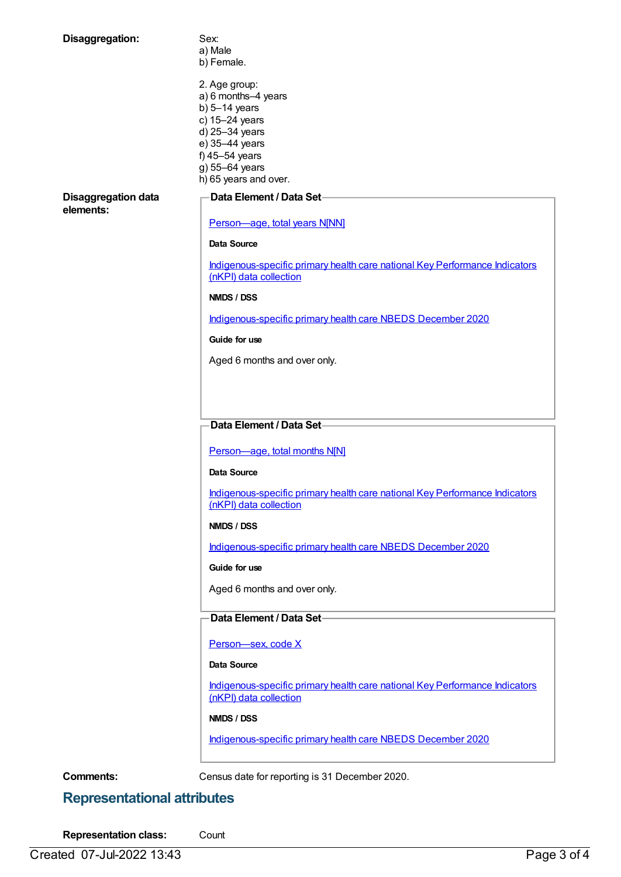| Disaggregation:                         | Sex:                                                                                                  |
|-----------------------------------------|-------------------------------------------------------------------------------------------------------|
|                                         | a) Male                                                                                               |
|                                         | b) Female.                                                                                            |
|                                         | 2. Age group:                                                                                         |
|                                         | a) 6 months-4 years                                                                                   |
|                                         | b) $5-14$ years                                                                                       |
|                                         | c) 15-24 years                                                                                        |
|                                         | d) 25-34 years                                                                                        |
|                                         | e) 35-44 years                                                                                        |
|                                         | f) 45-54 years                                                                                        |
|                                         | g) 55-64 years                                                                                        |
|                                         | h) 65 years and over.                                                                                 |
| <b>Disaggregation data</b><br>elements: | Data Element / Data Set-                                                                              |
|                                         | Person-age, total years N[NN]                                                                         |
|                                         | <b>Data Source</b>                                                                                    |
|                                         | Indigenous-specific primary health care national Key Performance Indicators<br>(nKPI) data collection |
|                                         | NMDS / DSS                                                                                            |
|                                         | Indigenous-specific primary health care NBEDS December 2020                                           |
|                                         | Guide for use                                                                                         |
|                                         | Aged 6 months and over only.                                                                          |
|                                         |                                                                                                       |
|                                         |                                                                                                       |
|                                         |                                                                                                       |
|                                         | Data Element / Data Set-                                                                              |
|                                         |                                                                                                       |
|                                         | Person-age, total months N[N]                                                                         |
|                                         | Data Source                                                                                           |
|                                         | Indigenous-specific primary health care national Key Performance Indicators<br>(nKPI) data collection |
|                                         | NMDS / DSS                                                                                            |
|                                         | Indigenous-specific primary health care NBEDS December 2020                                           |
|                                         | Guide for use                                                                                         |
|                                         | Aged 6 months and over only.                                                                          |
|                                         | Data Element / Data Set-                                                                              |
|                                         | Person-sex, code X                                                                                    |
|                                         |                                                                                                       |
|                                         | Data Source                                                                                           |
|                                         | Indigenous-specific primary health care national Key Performance Indicators<br>(nKPI) data collection |
|                                         | NMDS / DSS                                                                                            |
|                                         | Indigenous-specific primary health care NBEDS December 2020                                           |

**Comments:** Census date for reporting is 31 December 2020.

## **Representational attributes**

**Representation class:** Count